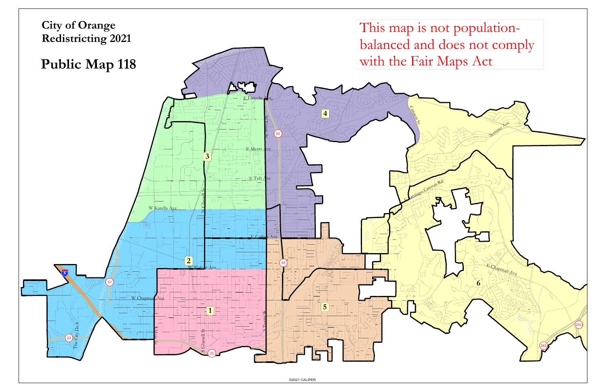